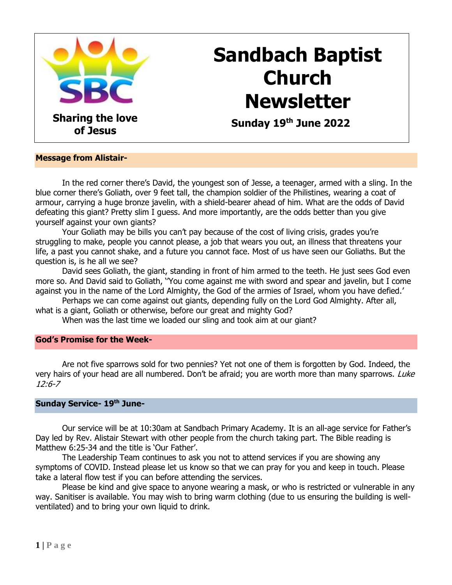

# **Sandbach Baptist Church Newsletter**

 **Sunday 19 th June 2022**

#### **Message from Alistair-**

In the red corner there's David, the youngest son of Jesse, a teenager, armed with a sling. In the blue corner there's Goliath, over 9 feet tall, the champion soldier of the Philistines, wearing a coat of armour, carrying a huge bronze javelin, with a shield-bearer ahead of him. What are the odds of David defeating this giant? Pretty slim I guess. And more importantly, are the odds better than you give yourself against your own giants?

Your Goliath may be bills you can't pay because of the cost of living crisis, grades you're struggling to make, people you cannot please, a job that wears you out, an illness that threatens your life, a past you cannot shake, and a future you cannot face. Most of us have seen our Goliaths. But the question is, is he all we see?

David sees Goliath, the giant, standing in front of him armed to the teeth. He just sees God even more so. And David said to Goliath, ''You come against me with sword and spear and javelin, but I come against you in the name of the Lord Almighty, the God of the armies of Israel, whom you have defied.'

Perhaps we can come against out giants, depending fully on the Lord God Almighty. After all, what is a giant, Goliath or otherwise, before our great and mighty God?

When was the last time we loaded our sling and took aim at our giant?

#### **God's Promise for the Week-**

Are not five sparrows sold for two pennies? Yet not one of them is forgotten by God. Indeed, the very hairs of your head are all numbered. Don't be afraid; you are worth more than many sparrows. Luke 12:6-7

#### **Sunday Service- 19 th June-**

Our service will be at 10:30am at Sandbach Primary Academy. It is an all-age service for Father's Day led by Rev. Alistair Stewart with other people from the church taking part. The Bible reading is Matthew 6:25-34 and the title is 'Our Father'.

The Leadership Team continues to ask you not to attend services if you are showing any symptoms of COVID. Instead please let us know so that we can pray for you and keep in touch. Please take a lateral flow test if you can before attending the services.

Please be kind and give space to anyone wearing a mask, or who is restricted or vulnerable in any way. Sanitiser is available. You may wish to bring warm clothing (due to us ensuring the building is wellventilated) and to bring your own liquid to drink.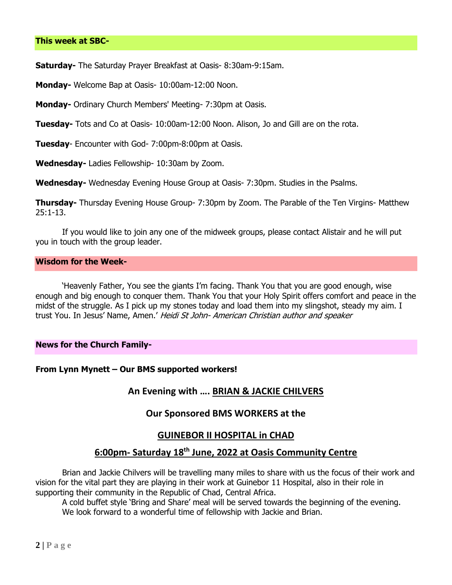**Saturday-** The Saturday Prayer Breakfast at Oasis- 8:30am-9:15am.

**Monday-** Welcome Bap at Oasis- 10:00am-12:00 Noon.

**Monday-** Ordinary Church Members' Meeting- 7:30pm at Oasis.

**Tuesday-** Tots and Co at Oasis- 10:00am-12:00 Noon. Alison, Jo and Gill are on the rota.

**Tuesday**- Encounter with God- 7:00pm-8:00pm at Oasis.

**Wednesday-** Ladies Fellowship- 10:30am by Zoom.

**Wednesday-** Wednesday Evening House Group at Oasis- 7:30pm. Studies in the Psalms.

**Thursday-** Thursday Evening House Group- 7:30pm by Zoom. The Parable of the Ten Virgins- Matthew 25:1-13.

If you would like to join any one of the midweek groups, please contact Alistair and he will put you in touch with the group leader.

## **Wisdom for the Week-**

'Heavenly Father, You see the giants I'm facing. Thank You that you are good enough, wise enough and big enough to conquer them. Thank You that your Holy Spirit offers comfort and peace in the midst of the struggle. As I pick up my stones today and load them into my slingshot, steady my aim. I trust You. In Jesus' Name, Amen.' Heidi St John- American Christian author and speaker

#### **News for the Church Family-**

#### **From Lynn Mynett – Our BMS supported workers!**

## **An Evening with …. BRIAN & JACKIE CHILVERS**

## **Our Sponsored BMS WORKERS at the**

## **GUINEBOR II HOSPITAL in CHAD**

## **6:00pm- Saturday 18th June, 2022 at Oasis Community Centre**

Brian and Jackie Chilvers will be travelling many miles to share with us the focus of their work and vision for the vital part they are playing in their work at Guinebor 11 Hospital, also in their role in supporting their community in the Republic of Chad, Central Africa.

A cold buffet style 'Bring and Share' meal will be served towards the beginning of the evening. We look forward to a wonderful time of fellowship with Jackie and Brian.